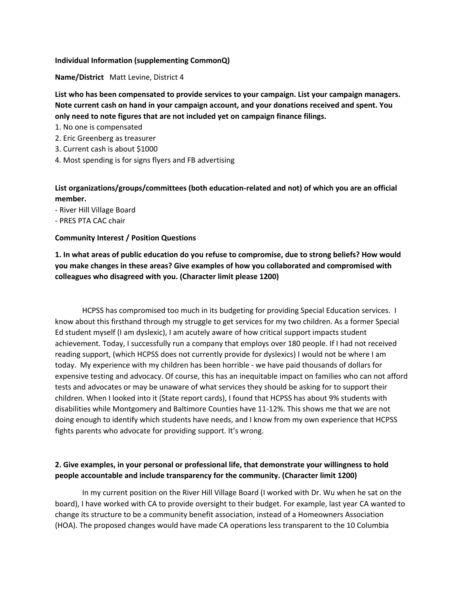## **Individual Information (supplementing CommonQ)**

**Name/District** Matt Levine, District 4

**List who has been compensated to provide services to your campaign. List your campaign managers. Note current cash on hand in your campaign account, and your donations received and spent. You only need to note figures that are not included yet on campaign finance filings.**

- 1. No one is compensated
- 2. Eric Greenberg as treasurer
- 3. Current cash is about \$1000
- 4. Most spending is for signs flyers and FB advertising

**List organizations/groups/committees (both education-related and not) of which you are an official member.**

- River Hill Village Board
- PRES PTA CAC chair

## **Community Interest / Position Questions**

**1. In what areas of public education do you refuse to compromise, due to strong beliefs? How would you make changes in these areas? Give examples of how you collaborated and compromised with colleagues who disagreed with you. (Character limit please 1200)**

HCPSS has compromised too much in its budgeting for providing Special Education services. I know about this firsthand through my struggle to get services for my two children. As a former Special Ed student myself (I am dyslexic), I am acutely aware of how critical support impacts student achievement. Today, I successfully run a company that employs over 180 people. If I had not received reading support, (which HCPSS does not currently provide for dyslexics) I would not be where I am today. My experience with my children has been horrible - we have paid thousands of dollars for expensive testing and advocacy. Of course, this has an inequitable impact on families who can not afford tests and advocates or may be unaware of what services they should be asking for to support their children. When I looked into it (State report cards), I found that HCPSS has about 9% students with disabilities while Montgomery and Baltimore Counties have 11-12%. This shows me that we are not doing enough to identify which students have needs, and I know from my own experience that HCPSS fights parents who advocate for providing support. It's wrong.

## **2. Give examples, in your personal or professional life, that demonstrate your willingness to hold people accountable and include transparency for the community. (Character limit 1200)**

In my current position on the River Hill Village Board (I worked with Dr. Wu when he sat on the board), I have worked with CA to provide oversight to their budget. For example, last year CA wanted to change its structure to be a community benefit association, instead of a Homeowners Association (HOA). The proposed changes would have made CA operations less transparent to the 10 Columbia